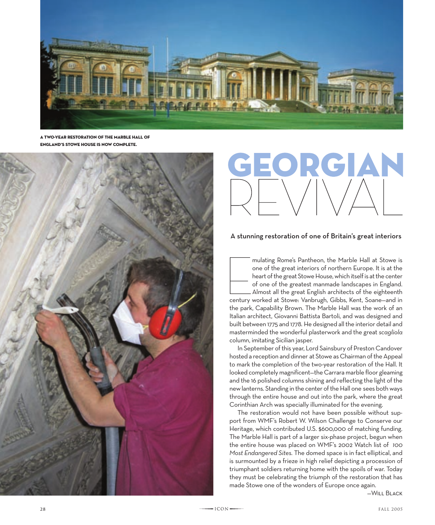

a two-year restoration of the marble hall of ENGLAND'S STOWE HOUSE IS NOW COMPLETE.



## EORGIAN

## A stunning restoration of one of Britain's great interiors

mulating Rome's Pantheon, the Marble Hall at Stowe is<br>one of the great interiors of northern Europe. It is at the<br>heart of the great Stowe House, which itself is at the center<br>of one of the greatest manmade landscapes in E mulating Rome's Pantheon, the Marble Hall at Stowe is one of the great interiors of northern Europe. It is at the heart of the great Stowe House, which itself is at the center of one of the greatest manmade landscapes in England. Almost all the great English architects of the eighteenth the park, Capability Brown. The Marble Hall was the work of an Italian architect, Giovanni Battista Bartoli, and was designed and built between 1775 and 1778. He designed all the interior detail and masterminded the wonderful plasterwork and the great *scagliola* column, imitating Sicilian jasper.

In September of this year, Lord Sainsbury of Preston Candover hosted a reception and dinner at Stowe as Chairman of the Appeal to mark the completion of the two-year restoration of the Hall. It looked completely magnificent—the Carrara marble floor gleaming and the 16 polished columns shining and reflecting the light of the new lanterns. Standing in the center of the Hall one sees both ways through the entire house and out into the park, where the great Corinthian Arch was specially illuminated for the evening.

The restoration would not have been possible without support from WMF's Robert W. Wilson Challenge to Conserve our Heritage, which contributed U.S. \$600,000 of matching funding. The Marble Hall is part of a larger six-phase project, begun when the entire house was placed on WMF's 2002 Watch list of *100 Most Endangered Sites.* The domed space is in fact elliptical, and is surmounted by a frieze in high relief depicting a procession of triumphant soldiers returning home with the spoils of war. Today they must be celebrating the triumph of the restoration that has made Stowe one of the wonders of Europe once again.

—Will Black